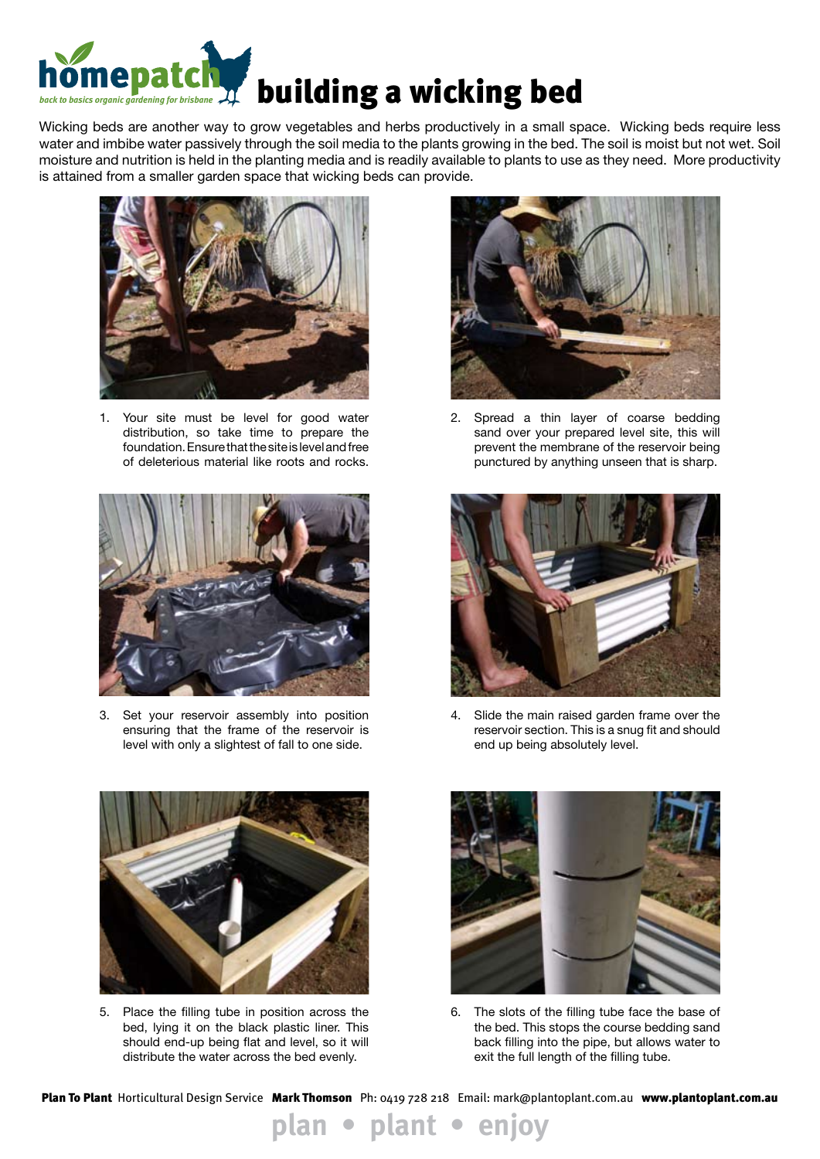

Wicking beds are another way to grow vegetables and herbs productively in a small space. Wicking beds require less water and imbibe water passively through the soil media to the plants growing in the bed. The soil is moist but not wet. Soil moisture and nutrition is held in the planting media and is readily available to plants to use as they need. More productivity is attained from a smaller garden space that wicking beds can provide.



1. Your site must be level for good water distribution, so take time to prepare the foundation. Ensure that the site is level and free of deleterious material like roots and rocks.



3. Set your reservoir assembly into position ensuring that the frame of the reservoir is level with only a slightest of fall to one side.



2. Spread a thin layer of coarse bedding sand over your prepared level site, this will prevent the membrane of the reservoir being punctured by anything unseen that is sharp.



4. Slide the main raised garden frame over the reservoir section. This is a snug fit and should end up being absolutely level.



5. Place the filling tube in position across the bed, lying it on the black plastic liner. This should end-up being flat and level, so it will distribute the water across the bed evenly.



6. The slots of the filling tube face the base of the bed. This stops the course bedding sand back filling into the pipe, but allows water to exit the full length of the filling tube.

Plan To Plant Horticultural Design Service Mark Thomson Ph: 0419 728 218 Email: mark@plantoplant.com.au www.plantoplant.com.au

**plan • plant • enjoy**